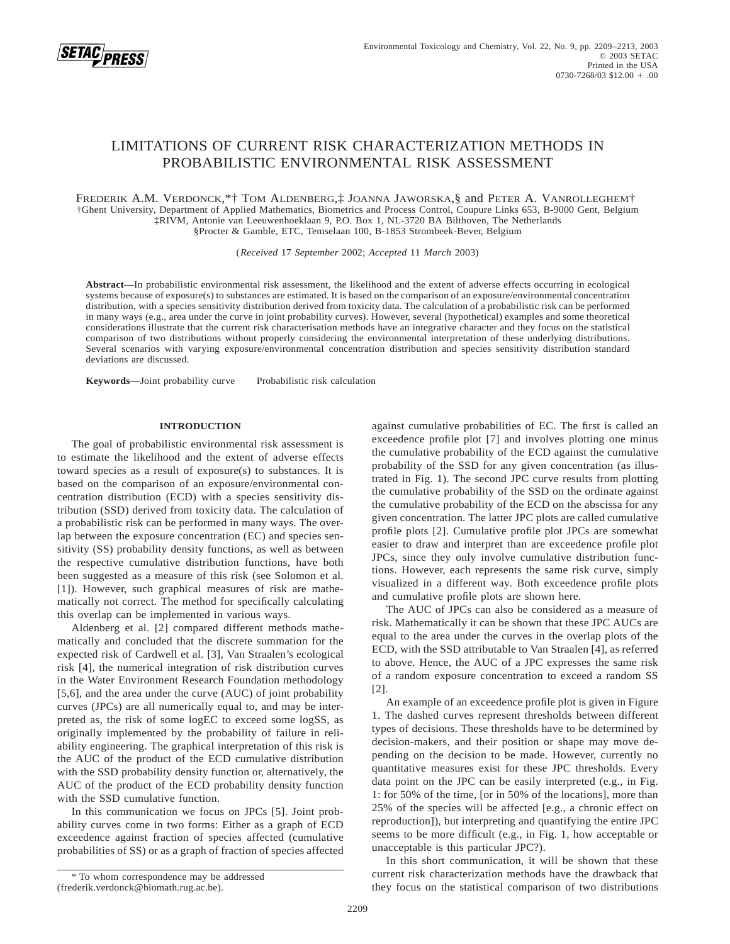

# LIMITATIONS OF CURRENT RISK CHARACTERIZATION METHODS IN PROBABILISTIC ENVIRONMENTAL RISK ASSESSMENT

FREDERIK A.M. VERDONCK,\*† TOM ALDENBERG,‡ JOANNA JAWORSKA,§ and PETER A. VANROLLEGHEM† †Ghent University, Department of Applied Mathematics, Biometrics and Process Control, Coupure Links 653, B-9000 Gent, Belgium ‡RIVM, Antonie van Leeuwenhoeklaan 9, P.O. Box 1, NL-3720 BA Bilthoven, The Netherlands §Procter & Gamble, ETC, Temselaan 100, B-1853 Strombeek-Bever, Belgium

(*Received* 17 *September* 2002; *Accepted* 11 *March* 2003)

**Abstract**—In probabilistic environmental risk assessment, the likelihood and the extent of adverse effects occurring in ecological systems because of exposure(s) to substances are estimated. It is based on the comparison of an exposure/environmental concentration distribution, with a species sensitivity distribution derived from toxicity data. The calculation of a probabilistic risk can be performed in many ways (e.g., area under the curve in joint probability curves). However, several (hypothetical) examples and some theoretical considerations illustrate that the current risk characterisation methods have an integrative character and they focus on the statistical comparison of two distributions without properly considering the environmental interpretation of these underlying distributions. Several scenarios with varying exposure/environmental concentration distribution and species sensitivity distribution standard deviations are discussed.

**Keywords**—Joint probability curve Probabilistic risk calculation

### **INTRODUCTION**

The goal of probabilistic environmental risk assessment is to estimate the likelihood and the extent of adverse effects toward species as a result of exposure(s) to substances. It is based on the comparison of an exposure/environmental concentration distribution (ECD) with a species sensitivity distribution (SSD) derived from toxicity data. The calculation of a probabilistic risk can be performed in many ways. The overlap between the exposure concentration (EC) and species sensitivity (SS) probability density functions, as well as between the respective cumulative distribution functions, have both been suggested as a measure of this risk (see Solomon et al. [1]). However, such graphical measures of risk are mathematically not correct. The method for specifically calculating this overlap can be implemented in various ways.

Aldenberg et al. [2] compared different methods mathematically and concluded that the discrete summation for the expected risk of Cardwell et al. [3], Van Straalen's ecological risk [4], the numerical integration of risk distribution curves in the Water Environment Research Foundation methodology [5,6], and the area under the curve (AUC) of joint probability curves (JPCs) are all numerically equal to, and may be interpreted as, the risk of some logEC to exceed some logSS, as originally implemented by the probability of failure in reliability engineering. The graphical interpretation of this risk is the AUC of the product of the ECD cumulative distribution with the SSD probability density function or, alternatively, the AUC of the product of the ECD probability density function with the SSD cumulative function.

In this communication we focus on JPCs [5]. Joint probability curves come in two forms: Either as a graph of ECD exceedence against fraction of species affected (cumulative probabilities of SS) or as a graph of fraction of species affected

against cumulative probabilities of EC. The first is called an exceedence profile plot [7] and involves plotting one minus the cumulative probability of the ECD against the cumulative probability of the SSD for any given concentration (as illustrated in Fig. 1). The second JPC curve results from plotting the cumulative probability of the SSD on the ordinate against the cumulative probability of the ECD on the abscissa for any given concentration. The latter JPC plots are called cumulative profile plots [2]. Cumulative profile plot JPCs are somewhat easier to draw and interpret than are exceedence profile plot JPCs, since they only involve cumulative distribution functions. However, each represents the same risk curve, simply visualized in a different way. Both exceedence profile plots and cumulative profile plots are shown here.

The AUC of JPCs can also be considered as a measure of risk. Mathematically it can be shown that these JPC AUCs are equal to the area under the curves in the overlap plots of the ECD, with the SSD attributable to Van Straalen [4], as referred to above. Hence, the AUC of a JPC expresses the same risk of a random exposure concentration to exceed a random SS [2].

An example of an exceedence profile plot is given in Figure 1. The dashed curves represent thresholds between different types of decisions. These thresholds have to be determined by decision-makers, and their position or shape may move depending on the decision to be made. However, currently no quantitative measures exist for these JPC thresholds. Every data point on the JPC can be easily interpreted (e.g., in Fig. 1: for 50% of the time, [or in 50% of the locations], more than 25% of the species will be affected [e.g., a chronic effect on reproduction]), but interpreting and quantifying the entire JPC seems to be more difficult (e.g., in Fig. 1, how acceptable or unacceptable is this particular JPC?).

In this short communication, it will be shown that these current risk characterization methods have the drawback that they focus on the statistical comparison of two distributions

<sup>\*</sup> To whom correspondence may be addressed (frederik.verdonck@biomath.rug.ac.be).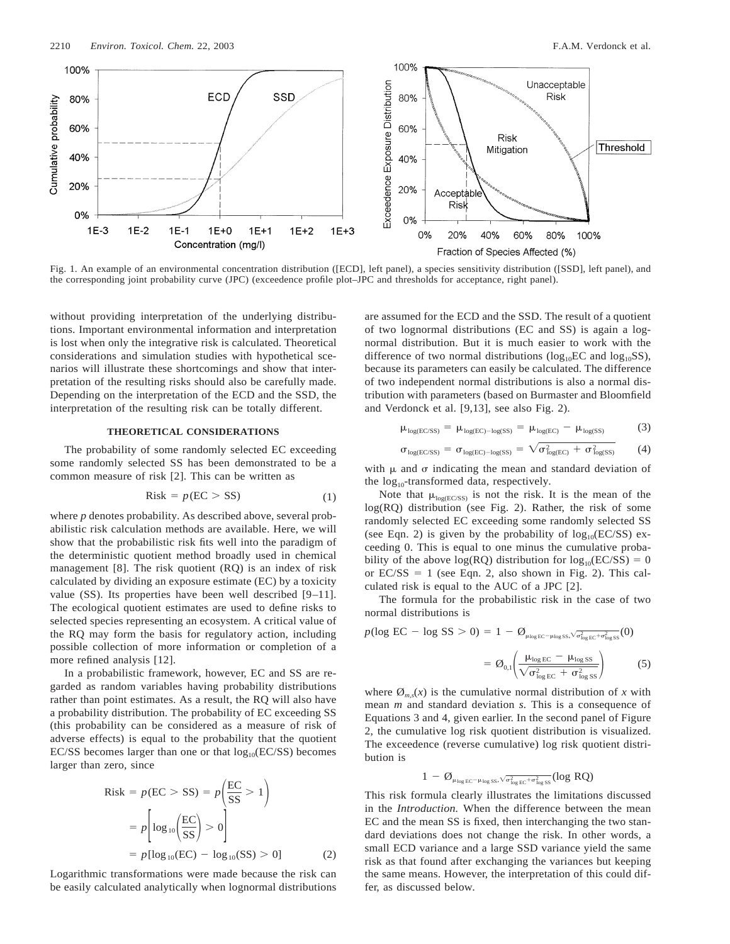

Fig. 1. An example of an environmental concentration distribution ([ECD], left panel), a species sensitivity distribution ([SSD], left panel), and the corresponding joint probability curve (JPC) (exceedence profile plot–JPC and thresholds for acceptance, right panel).

without providing interpretation of the underlying distributions. Important environmental information and interpretation is lost when only the integrative risk is calculated. Theoretical considerations and simulation studies with hypothetical scenarios will illustrate these shortcomings and show that interpretation of the resulting risks should also be carefully made. Depending on the interpretation of the ECD and the SSD, the interpretation of the resulting risk can be totally different.

## **THEORETICAL CONSIDERATIONS**

The probability of some randomly selected EC exceeding some randomly selected SS has been demonstrated to be a common measure of risk [2]. This can be written as

$$
Risk = p(EC > SS)
$$
 (1)

where *p* denotes probability. As described above, several probabilistic risk calculation methods are available. Here, we will show that the probabilistic risk fits well into the paradigm of the deterministic quotient method broadly used in chemical management [8]. The risk quotient (RQ) is an index of risk calculated by dividing an exposure estimate (EC) by a toxicity value (SS). Its properties have been well described [9–11]. The ecological quotient estimates are used to define risks to selected species representing an ecosystem. A critical value of the RQ may form the basis for regulatory action, including possible collection of more information or completion of a more refined analysis [12].

In a probabilistic framework, however, EC and SS are regarded as random variables having probability distributions rather than point estimates. As a result, the RQ will also have a probability distribution. The probability of EC exceeding SS (this probability can be considered as a measure of risk of adverse effects) is equal to the probability that the quotient EC/SS becomes larger than one or that  $log_{10}(EC/SS)$  becomes larger than zero, since

$$
Risk = p(EC > SS) = p\left(\frac{EC}{SS} > 1\right)
$$

$$
= p\left[\log_{10}\left(\frac{EC}{SS}\right) > 0\right]
$$

$$
= p\left[\log_{10}(EC) - \log_{10}(SS) > 0\right]
$$
(2)

Logarithmic transformations were made because the risk can be easily calculated analytically when lognormal distributions

are assumed for the ECD and the SSD. The result of a quotient of two lognormal distributions (EC and SS) is again a lognormal distribution. But it is much easier to work with the difference of two normal distributions ( $log_{10}EC$  and  $log_{10}SS$ ), because its parameters can easily be calculated. The difference of two independent normal distributions is also a normal distribution with parameters (based on Burmaster and Bloomfield and Verdonck et al. [9,13], see also Fig. 2).

$$
\mu_{\log(EC/SS)} = \mu_{\log(EC) - \log(SS)} = \mu_{\log(EC)} - \mu_{\log(SS)} \tag{3}
$$

$$
\sigma_{\log(EC/SS)} = \sigma_{\log(EC) - \log(SS)} = \sqrt{\sigma_{\log(EC)}^2 + \sigma_{\log(SS)}^2} \tag{4}
$$

with  $\mu$  and  $\sigma$  indicating the mean and standard deviation of the  $log_{10}$ -transformed data, respectively.

Note that  $\mu_{log(EC/SS)}$  is not the risk. It is the mean of the log(RQ) distribution (see Fig. 2). Rather, the risk of some randomly selected EC exceeding some randomly selected SS (see Eqn. 2) is given by the probability of  $log_{10}(EC/SS)$  exceeding 0. This is equal to one minus the cumulative probability of the above log(RQ) distribution for  $log_{10}(EC/SS) = 0$ or  $EC/SS = 1$  (see Eqn. 2, also shown in Fig. 2). This calculated risk is equal to the AUC of a JPC [2].

The formula for the probabilistic risk in the case of two normal distributions is

$$
p(\log \text{EC} - \log \text{SS} > 0) = 1 - \mathcal{O}_{\mu_{\log \text{EC}} - \mu_{\log \text{SS}}, \sqrt{\sigma_{\log \text{EC}}^2 + \sigma_{\log \text{SS}}^2}}(0)
$$

$$
= \textcolor{blue}{\mathcal{O}_{0,1}\Bigg(\frac{\mu_{\log\text{EC}}-\mu_{\log\text{SS}}}{\sqrt{\sigma_{\log\text{EC}}^2+\sigma_{\log\text{SS}}^2}}\Bigg)} \qquad \qquad (5)
$$

where  $\mathcal{O}_{m,s}(x)$  is the cumulative normal distribution of x with mean *m* and standard deviation *s.* This is a consequence of Equations 3 and 4, given earlier. In the second panel of Figure 2, the cumulative log risk quotient distribution is visualized. The exceedence (reverse cumulative) log risk quotient distribution is

$$
1-\textit{O}_{\mu_{\log EC}-\mu_{\log SS},\sqrt{\sigma^2_{\log EC}+\sigma^2_{\log SS}}}(\log\,RQ)
$$

This risk formula clearly illustrates the limitations discussed in the *Introduction.* When the difference between the mean EC and the mean SS is fixed, then interchanging the two standard deviations does not change the risk. In other words, a small ECD variance and a large SSD variance yield the same risk as that found after exchanging the variances but keeping the same means. However, the interpretation of this could differ, as discussed below.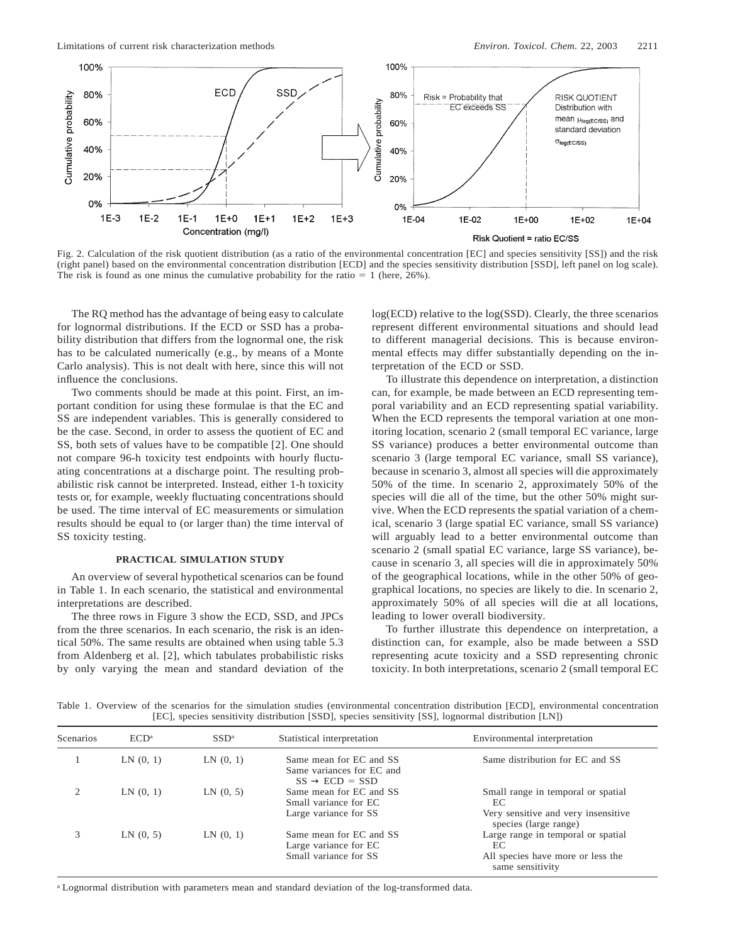

Fig. 2. Calculation of the risk quotient distribution (as a ratio of the environmental concentration [EC] and species sensitivity [SS]) and the risk (right panel) based on the environmental concentration distribution [ECD] and the species sensitivity distribution [SSD], left panel on log scale). The risk is found as one minus the cumulative probability for the ratio  $= 1$  (here, 26%).

The RQ method has the advantage of being easy to calculate for lognormal distributions. If the ECD or SSD has a probability distribution that differs from the lognormal one, the risk has to be calculated numerically (e.g., by means of a Monte Carlo analysis). This is not dealt with here, since this will not influence the conclusions.

Two comments should be made at this point. First, an important condition for using these formulae is that the EC and SS are independent variables. This is generally considered to be the case. Second, in order to assess the quotient of EC and SS, both sets of values have to be compatible [2]. One should not compare 96-h toxicity test endpoints with hourly fluctuating concentrations at a discharge point. The resulting probabilistic risk cannot be interpreted. Instead, either 1-h toxicity tests or, for example, weekly fluctuating concentrations should be used. The time interval of EC measurements or simulation results should be equal to (or larger than) the time interval of SS toxicity testing.

#### **PRACTICAL SIMULATION STUDY**

An overview of several hypothetical scenarios can be found in Table 1. In each scenario, the statistical and environmental interpretations are described.

The three rows in Figure 3 show the ECD, SSD, and JPCs from the three scenarios. In each scenario, the risk is an identical 50%. The same results are obtained when using table 5.3 from Aldenberg et al. [2], which tabulates probabilistic risks by only varying the mean and standard deviation of the

log(ECD) relative to the log(SSD). Clearly, the three scenarios represent different environmental situations and should lead to different managerial decisions. This is because environmental effects may differ substantially depending on the interpretation of the ECD or SSD.

To illustrate this dependence on interpretation, a distinction can, for example, be made between an ECD representing temporal variability and an ECD representing spatial variability. When the ECD represents the temporal variation at one monitoring location, scenario 2 (small temporal EC variance, large SS variance) produces a better environmental outcome than scenario 3 (large temporal EC variance, small SS variance), because in scenario 3, almost all species will die approximately 50% of the time. In scenario 2, approximately 50% of the species will die all of the time, but the other 50% might survive. When the ECD represents the spatial variation of a chemical, scenario 3 (large spatial EC variance, small SS variance) will arguably lead to a better environmental outcome than scenario 2 (small spatial EC variance, large SS variance), because in scenario 3, all species will die in approximately 50% of the geographical locations, while in the other 50% of geographical locations, no species are likely to die. In scenario 2, approximately 50% of all species will die at all locations, leading to lower overall biodiversity.

To further illustrate this dependence on interpretation, a distinction can, for example, also be made between a SSD representing acute toxicity and a SSD representing chronic toxicity. In both interpretations, scenario 2 (small temporal EC

Table 1. Overview of the scenarios for the simulation studies (environmental concentration distribution [ECD], environmental concentration [EC], species sensitivity distribution [SSD], species sensitivity [SS], lognormal distribution [LN])

| Scenarios | ECD <sup>a</sup> | $SSD^a$  | Statistical interpretation                                                         | Environmental interpretation                                                                      |
|-----------|------------------|----------|------------------------------------------------------------------------------------|---------------------------------------------------------------------------------------------------|
|           | LN(0, 1)         | LN(0, 1) | Same mean for EC and SS<br>Same variances for EC and<br>$SS \rightarrow ECD = SSD$ | Same distribution for EC and SS                                                                   |
| 2         | LN(0, 1)         | LN(0, 5) | Same mean for EC and SS<br>Small variance for EC                                   | Small range in temporal or spatial<br>EC                                                          |
|           |                  |          | Large variance for SS                                                              | Very sensitive and very insensitive<br>species (large range)                                      |
| 3         | LN(0, 5)         | LN(0, 1) | Same mean for EC and SS<br>Large variance for EC<br>Small variance for SS          | Large range in temporal or spatial<br>EC<br>All species have more or less the<br>same sensitivity |

<sup>a</sup> Lognormal distribution with parameters mean and standard deviation of the log-transformed data.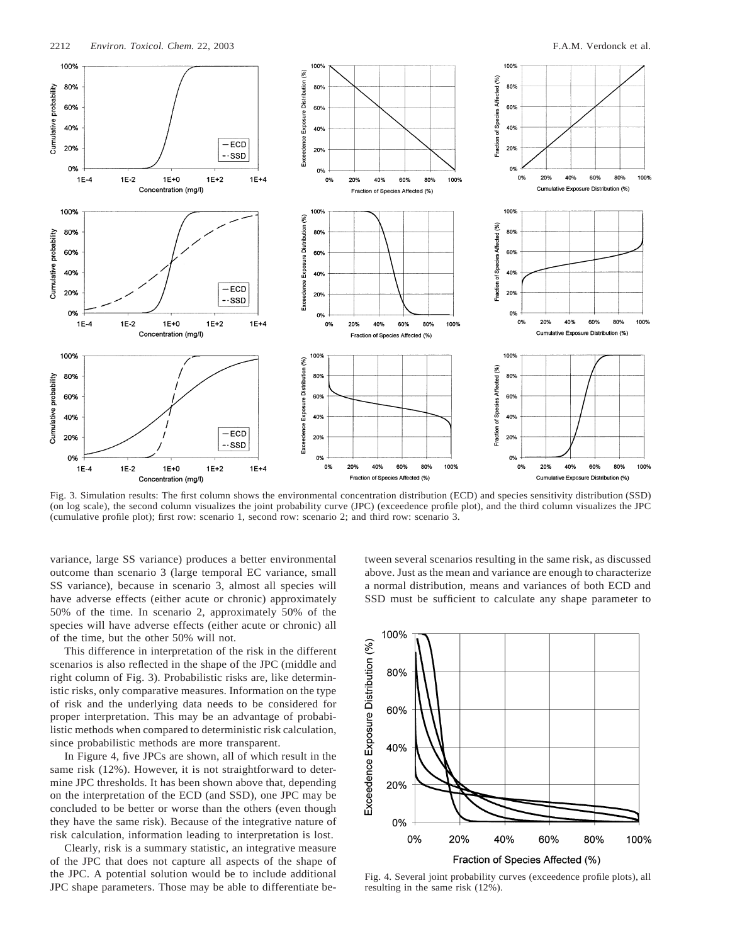

Fig. 3. Simulation results: The first column shows the environmental concentration distribution (ECD) and species sensitivity distribution (SSD) (on log scale), the second column visualizes the joint probability curve (JPC) (exceedence profile plot), and the third column visualizes the JPC (cumulative profile plot); first row: scenario 1, second row: scenario 2; and third row: scenario 3.

variance, large SS variance) produces a better environmental outcome than scenario 3 (large temporal EC variance, small SS variance), because in scenario 3, almost all species will have adverse effects (either acute or chronic) approximately 50% of the time. In scenario 2, approximately 50% of the species will have adverse effects (either acute or chronic) all of the time, but the other 50% will not.

This difference in interpretation of the risk in the different scenarios is also reflected in the shape of the JPC (middle and right column of Fig. 3). Probabilistic risks are, like deterministic risks, only comparative measures. Information on the type of risk and the underlying data needs to be considered for proper interpretation. This may be an advantage of probabilistic methods when compared to deterministic risk calculation, since probabilistic methods are more transparent.

In Figure 4, five JPCs are shown, all of which result in the same risk (12%). However, it is not straightforward to determine JPC thresholds. It has been shown above that, depending on the interpretation of the ECD (and SSD), one JPC may be concluded to be better or worse than the others (even though they have the same risk). Because of the integrative nature of risk calculation, information leading to interpretation is lost.

Clearly, risk is a summary statistic, an integrative measure of the JPC that does not capture all aspects of the shape of the JPC. A potential solution would be to include additional JPC shape parameters. Those may be able to differentiate between several scenarios resulting in the same risk, as discussed above. Just as the mean and variance are enough to characterize a normal distribution, means and variances of both ECD and SSD must be sufficient to calculate any shape parameter to



Fig. 4. Several joint probability curves (exceedence profile plots), all resulting in the same risk (12%).